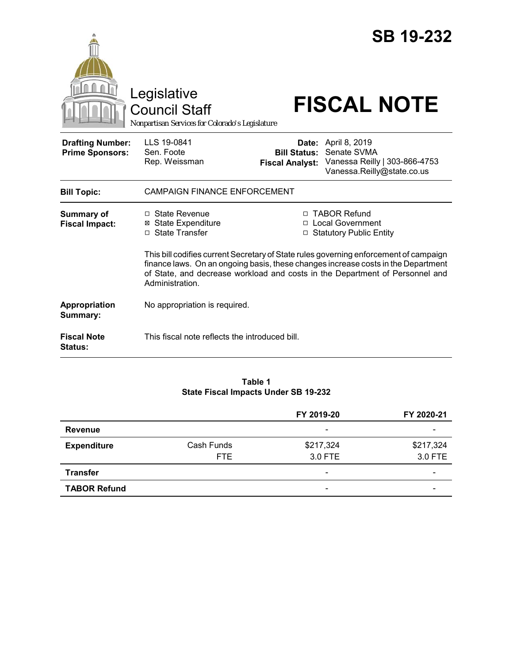|                                                   |                                                                                                                                                                                                                                                                               |                                                                                  | <b>SB 19-232</b>                                                                                         |  |
|---------------------------------------------------|-------------------------------------------------------------------------------------------------------------------------------------------------------------------------------------------------------------------------------------------------------------------------------|----------------------------------------------------------------------------------|----------------------------------------------------------------------------------------------------------|--|
|                                                   | Legislative<br>Council Staff<br>Nonpartisan Services for Colorado's Legislature                                                                                                                                                                                               |                                                                                  | <b>FISCAL NOTE</b>                                                                                       |  |
| <b>Drafting Number:</b><br><b>Prime Sponsors:</b> | LLS 19-0841<br>Sen. Foote<br>Rep. Weissman                                                                                                                                                                                                                                    | <b>Bill Status:</b><br><b>Fiscal Analyst:</b>                                    | <b>Date:</b> April 8, 2019<br>Senate SVMA<br>Vanessa Reilly   303-866-4753<br>Vanessa.Reilly@state.co.us |  |
| <b>Bill Topic:</b>                                | <b>CAMPAIGN FINANCE ENFORCEMENT</b>                                                                                                                                                                                                                                           |                                                                                  |                                                                                                          |  |
| <b>Summary of</b><br><b>Fiscal Impact:</b>        | □ State Revenue<br><b>⊠</b> State Expenditure<br>□ State Transfer                                                                                                                                                                                                             | □ TABOR Refund<br>□ Local Government<br><b>Statutory Public Entity</b><br>$\Box$ |                                                                                                          |  |
|                                                   | This bill codifies current Secretary of State rules governing enforcement of campaign<br>finance laws. On an ongoing basis, these changes increase costs in the Department<br>of State, and decrease workload and costs in the Department of Personnel and<br>Administration. |                                                                                  |                                                                                                          |  |
| Appropriation<br>Summary:                         | No appropriation is required.                                                                                                                                                                                                                                                 |                                                                                  |                                                                                                          |  |
| <b>Fiscal Note</b><br><b>Status:</b>              | This fiscal note reflects the introduced bill.                                                                                                                                                                                                                                |                                                                                  |                                                                                                          |  |

#### **Table 1 State Fiscal Impacts Under SB 19-232**

|                     |                    | FY 2019-20                   | FY 2020-21               |
|---------------------|--------------------|------------------------------|--------------------------|
| Revenue             |                    | $\overline{\phantom{a}}$     |                          |
| <b>Expenditure</b>  | Cash Funds<br>FTE. | \$217,324<br>3.0 FTE         | \$217,324<br>3.0 FTE     |
| <b>Transfer</b>     |                    | $\qquad \qquad \blacksquare$ | $\overline{\phantom{0}}$ |
| <b>TABOR Refund</b> |                    | $\overline{\phantom{a}}$     |                          |